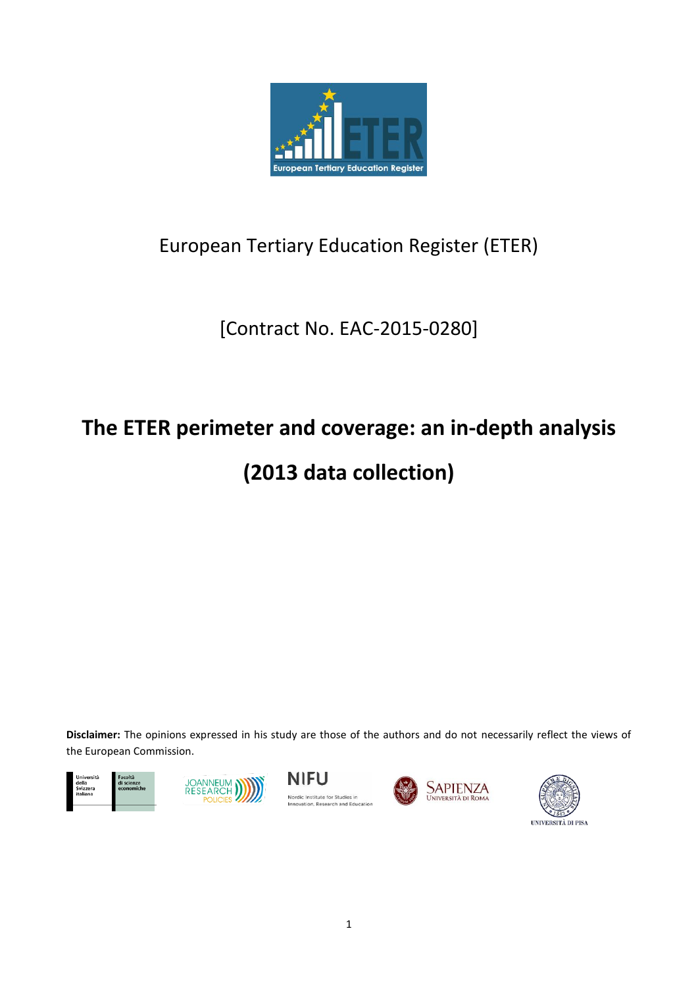

# European Tertiary Education Register (ETER)

# [Contract No. EAC-2015-0280]

# **The ETER perimeter and coverage: an in-depth analysis**

# **(2013 data collection)**

**Disclaimer:** The opinions expressed in his study are those of the authors and do not necessarily reflect the views of the European Commission.









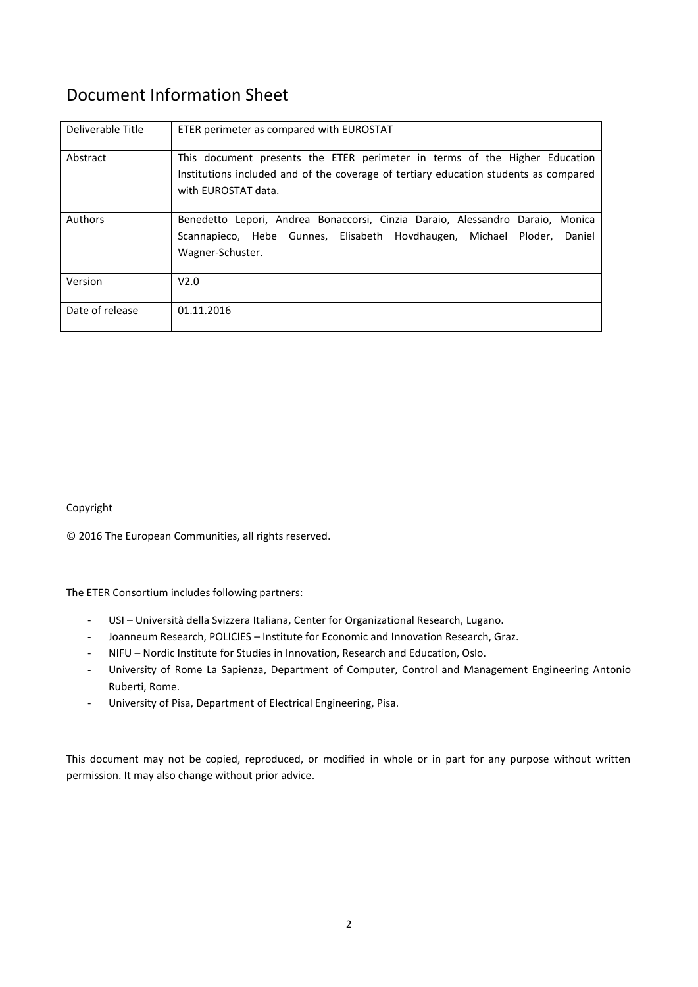# Document Information Sheet

| Deliverable Title | ETER perimeter as compared with EUROSTAT                                                                                                                                                  |
|-------------------|-------------------------------------------------------------------------------------------------------------------------------------------------------------------------------------------|
| Abstract          | This document presents the ETER perimeter in terms of the Higher Education<br>Institutions included and of the coverage of tertiary education students as compared<br>with EUROSTAT data. |
| Authors           | Benedetto Lepori, Andrea Bonaccorsi, Cinzia Daraio, Alessandro Daraio, Monica<br>Scannapieco, Hebe Gunnes, Elisabeth Hovdhaugen, Michael Ploder,<br>Daniel<br>Wagner-Schuster.            |
| Version           | V2.0                                                                                                                                                                                      |
| Date of release   | 01.11.2016                                                                                                                                                                                |

## Copyright

© 2016 The European Communities, all rights reserved.

The ETER Consortium includes following partners:

- USI Università della Svizzera Italiana, Center for Organizational Research, Lugano.
- Joanneum Research, POLICIES Institute for Economic and Innovation Research, Graz.
- NIFU Nordic Institute for Studies in Innovation, Research and Education, Oslo.
- University of Rome La Sapienza, Department of Computer, Control and Management Engineering Antonio Ruberti, Rome.
- University of Pisa, Department of Electrical Engineering, Pisa.

This document may not be copied, reproduced, or modified in whole or in part for any purpose without written permission. It may also change without prior advice.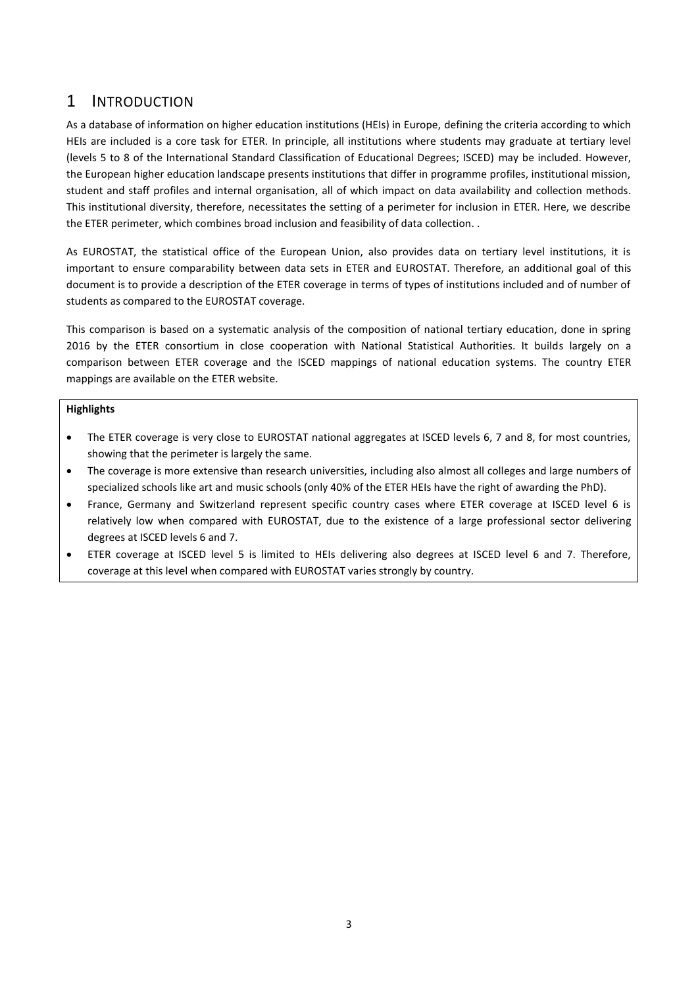## 1 INTRODUCTION

As a database of information on higher education institutions (HEIs) in Europe, defining the criteria according to which HEIs are included is a core task for ETER. In principle, all institutions where students may graduate at tertiary level (levels 5 to 8 of the International Standard Classification of Educational Degrees; ISCED) may be included. However, the European higher education landscape presents institutions that differ in programme profiles, institutional mission, student and staff profiles and internal organisation, all of which impact on data availability and collection methods. This institutional diversity, therefore, necessitates the setting of a perimeter for inclusion in ETER. Here, we describe the ETER perimeter, which combines broad inclusion and feasibility of data collection. .

As EUROSTAT, the statistical office of the European Union, also provides data on tertiary level institutions, it is important to ensure comparability between data sets in ETER and EUROSTAT. Therefore, an additional goal of this document is to provide a description of the ETER coverage in terms of types of institutions included and of number of students as compared to the EUROSTAT coverage.

This comparison is based on a systematic analysis of the composition of national tertiary education, done in spring 2016 by the ETER consortium in close cooperation with National Statistical Authorities. It builds largely on a comparison between ETER coverage and the ISCED mappings of national education systems. The country ETER mappings are available on the ETER website.

### **Highlights**

- The ETER coverage is very close to EUROSTAT national aggregates at ISCED levels 6, 7 and 8, for most countries, showing that the perimeter is largely the same.
- The coverage is more extensive than research universities, including also almost all colleges and large numbers of specialized schools like art and music schools (only 40% of the ETER HEIs have the right of awarding the PhD).
- France, Germany and Switzerland represent specific country cases where ETER coverage at ISCED level 6 is relatively low when compared with EUROSTAT, due to the existence of a large professional sector delivering degrees at ISCED levels 6 and 7.
- ETER coverage at ISCED level 5 is limited to HEIs delivering also degrees at ISCED level 6 and 7. Therefore, coverage at this level when compared with EUROSTAT varies strongly by country.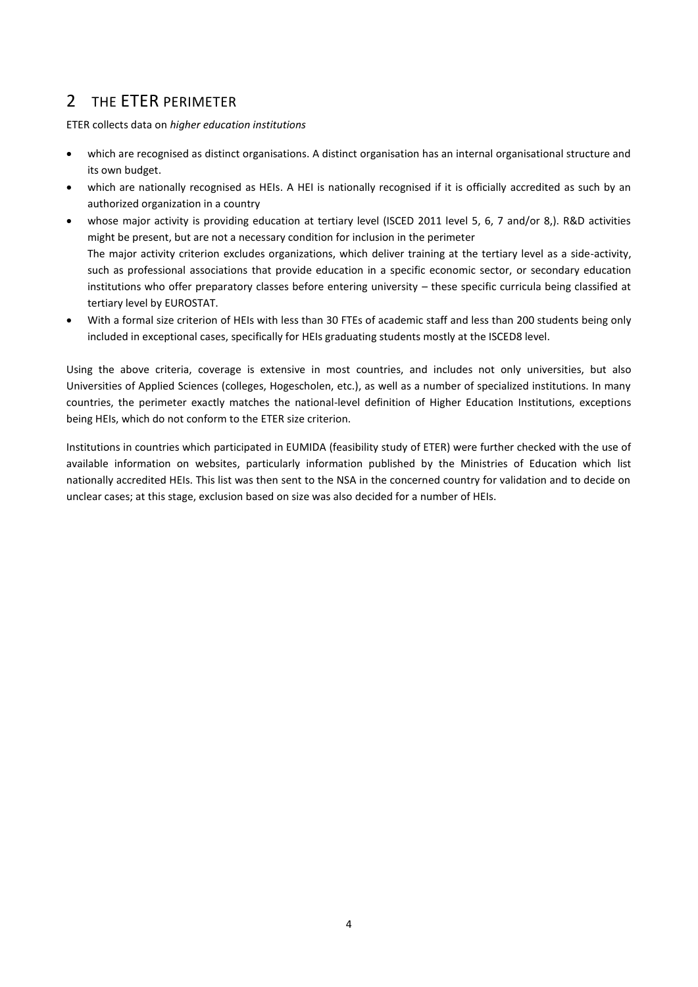## 2 THE ETER PERIMETER

ETER collects data on *higher education institutions*

- which are recognised as distinct organisations. A distinct organisation has an internal organisational structure and its own budget.
- which are nationally recognised as HEIs. A HEI is nationally recognised if it is officially accredited as such by an authorized organization in a country
- whose major activity is providing education at tertiary level (ISCED 2011 level 5, 6, 7 and/or 8,). R&D activities might be present, but are not a necessary condition for inclusion in the perimeter The major activity criterion excludes organizations, which deliver training at the tertiary level as a side-activity, such as professional associations that provide education in a specific economic sector, or secondary education institutions who offer preparatory classes before entering university – these specific curricula being classified at tertiary level by EUROSTAT.
- With a formal size criterion of HEIs with less than 30 FTEs of academic staff and less than 200 students being only included in exceptional cases, specifically for HEIs graduating students mostly at the ISCED8 level.

Using the above criteria, coverage is extensive in most countries, and includes not only universities, but also Universities of Applied Sciences (colleges, Hogescholen, etc.), as well as a number of specialized institutions. In many countries, the perimeter exactly matches the national-level definition of Higher Education Institutions, exceptions being HEIs, which do not conform to the ETER size criterion.

Institutions in countries which participated in EUMIDA (feasibility study of ETER) were further checked with the use of available information on websites, particularly information published by the Ministries of Education which list nationally accredited HEIs. This list was then sent to the NSA in the concerned country for validation and to decide on unclear cases; at this stage, exclusion based on size was also decided for a number of HEIs.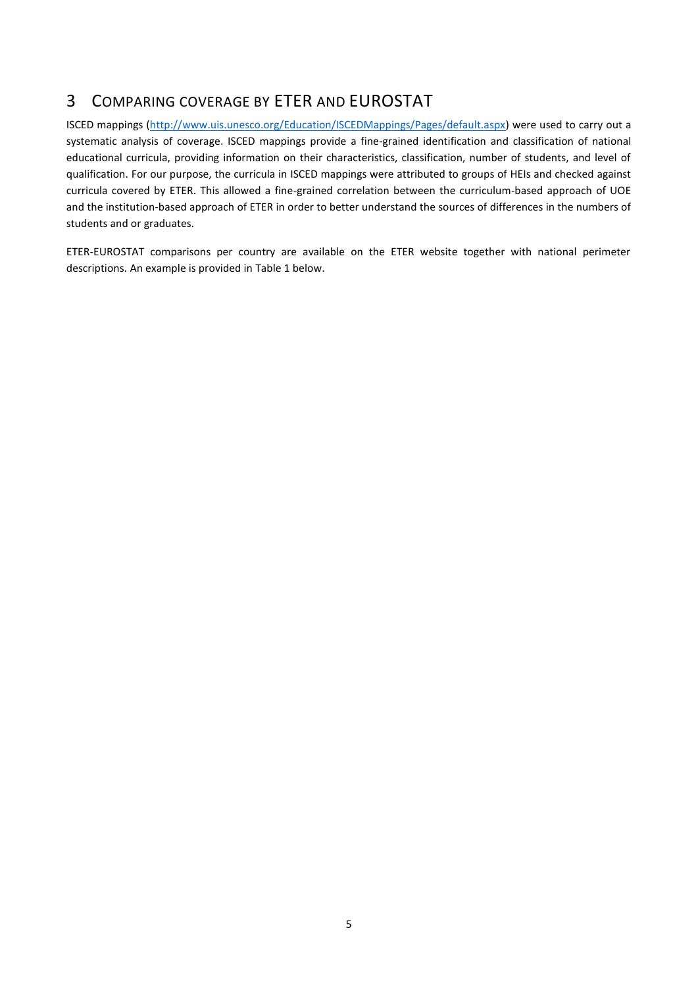# 3 COMPARING COVERAGE BY ETER AND EUROSTAT

ISCED mappings [\(http://www.uis.unesco.org/Education/ISCEDMappings/Pages/default.aspx\)](http://www.uis.unesco.org/Education/ISCEDMappings/Pages/default.aspx) were used to carry out a systematic analysis of coverage. ISCED mappings provide a fine-grained identification and classification of national educational curricula, providing information on their characteristics, classification, number of students, and level of qualification. For our purpose, the curricula in ISCED mappings were attributed to groups of HEIs and checked against curricula covered by ETER. This allowed a fine-grained correlation between the curriculum-based approach of UOE and the institution-based approach of ETER in order to better understand the sources of differences in the numbers of students and or graduates.

ETER-EUROSTAT comparisons per country are available on the ETER website together with national perimeter descriptions. An example is provided in [Table 1](#page-5-0) below.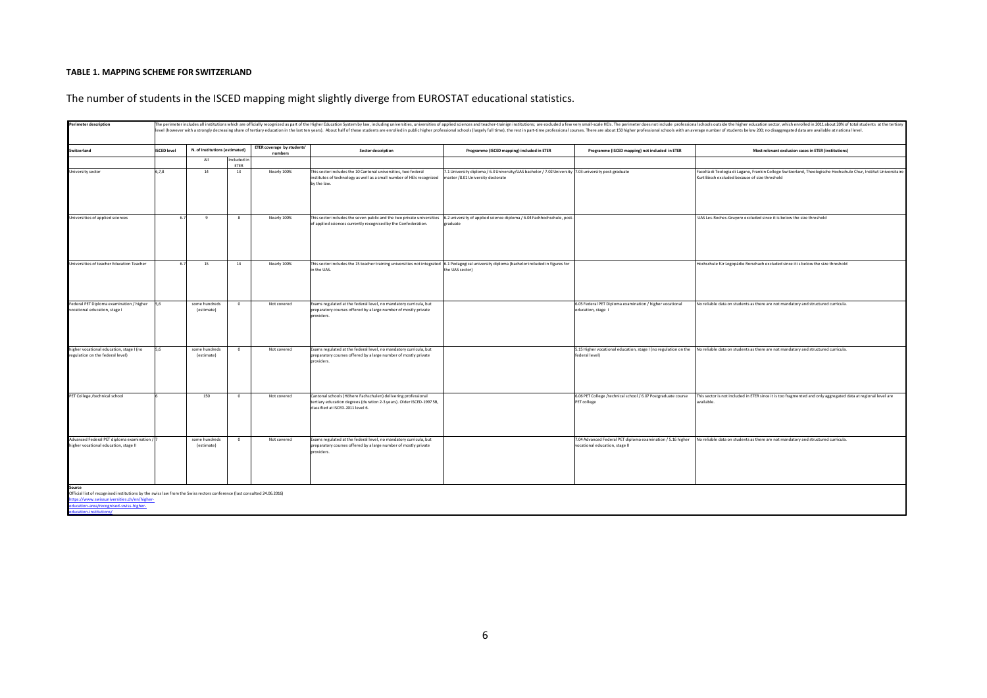#### **TABLE 1. MAPPING SCHEME FOR SWITZERLAND**

| <b>Perimeter description</b>                                                                                                                                                     | The perimeter includes all institutions which are officially recognized as part of the Higher Education System by law, including universities, universities of applied sciences and teacher-trainign institutions; are exclude<br>level (however with a strongly decreasing share of tertiary education in the last ten years). About half of these students are enrolled in public higher professional schools (largely full time), the rest in part-time profe |                                |                     |                                              |                                                                                                                                                                             |                                                                                                                                                             |                                                                                               |                                                                                                                                                                   |  |  |
|----------------------------------------------------------------------------------------------------------------------------------------------------------------------------------|------------------------------------------------------------------------------------------------------------------------------------------------------------------------------------------------------------------------------------------------------------------------------------------------------------------------------------------------------------------------------------------------------------------------------------------------------------------|--------------------------------|---------------------|----------------------------------------------|-----------------------------------------------------------------------------------------------------------------------------------------------------------------------------|-------------------------------------------------------------------------------------------------------------------------------------------------------------|-----------------------------------------------------------------------------------------------|-------------------------------------------------------------------------------------------------------------------------------------------------------------------|--|--|
| Switzerland                                                                                                                                                                      | <b>ISCED level</b>                                                                                                                                                                                                                                                                                                                                                                                                                                               | N. of Institutions (estimated) |                     | <b>ETER coverage by students'</b><br>numbers | <b>Sector description</b>                                                                                                                                                   | Programme (ISCED mapping) included in ETER                                                                                                                  | Programme (ISCED mapping) not included in ETER                                                | Most relevant exclusion cases in ETER (institutions)                                                                                                              |  |  |
|                                                                                                                                                                                  |                                                                                                                                                                                                                                                                                                                                                                                                                                                                  | All                            | Included in<br>ETER |                                              |                                                                                                                                                                             |                                                                                                                                                             |                                                                                               |                                                                                                                                                                   |  |  |
| University sector                                                                                                                                                                | 6, 7, 8                                                                                                                                                                                                                                                                                                                                                                                                                                                          | 14                             | 13                  | Nearly 100%                                  | This sector includes the 10 Cantonal universities, two federal<br>nstitutes of technology as well as a small number of HEIs recognized<br>by the law.                       | 7.1 University diploma / 6.3 University/UAS bachelor / 7.02 University 7.03 university post-graduate<br>master /8.01 University doctorate                   |                                                                                               | Facoltà di Teologia di Lugano, Frankin College Switzerland, Theologische Hochschule Chur, Institut Universitaire<br>Kurt Bösch excluded because of size threshold |  |  |
| Universities of applied sciences                                                                                                                                                 | 6.7                                                                                                                                                                                                                                                                                                                                                                                                                                                              | 9                              | 8                   | Nearly 100%                                  | of applied sciences currently recognised by the Confederation.                                                                                                              | This sector includes the seven public and the two private universities $6.2$ university of applied science diploma / 6.04 Fachhochschule, post-<br>graduate |                                                                                               | UAS Les-Roches-Gruyere excluded since it is below the size threshold                                                                                              |  |  |
| Universities of teacher Education Teacher                                                                                                                                        | 6.7                                                                                                                                                                                                                                                                                                                                                                                                                                                              | 15                             | 14                  | Nearly 100%                                  | This sector includes the 15 teacher training universities not integrated 6.1 Pedagogical university diploma (bachelor included in figures for<br>in the UAS.                | the UAS sector)                                                                                                                                             |                                                                                               | Hochschule für Logopädie Rorschach excluded since it is below the size threshold                                                                                  |  |  |
| Federal PET Diploma examination / higher<br>vocational education, stage I                                                                                                        | 5,6                                                                                                                                                                                                                                                                                                                                                                                                                                                              | some hundreds<br>(estimate)    | $\mathbf{0}$        | Not covered                                  | Exams regulated at the federal level, no mandatory curricula, but<br>preparatory courses offered by a large number of mostly private<br>providers.                          |                                                                                                                                                             | 6.05 Federal PET Diploma examination / higher vocational<br>education, stage 1                | No reliable data on students as there are not mandatory and structured curricula.                                                                                 |  |  |
| higher vocational education, stage I (no<br>regulation on the federal level)                                                                                                     | 5.6                                                                                                                                                                                                                                                                                                                                                                                                                                                              | some hundreds<br>(estimate)    | $^{\circ}$          | Not covered                                  | Exams regulated at the federal level, no mandatory curricula, but<br>preparatory courses offered by a large number of mostly private<br>providers.                          |                                                                                                                                                             | federal level)                                                                                | 5.15 Higher vocational education, stage I (no regulation on the No reliable data on students as there are not mandatory and structured curricula.                 |  |  |
| PET College /technical school                                                                                                                                                    |                                                                                                                                                                                                                                                                                                                                                                                                                                                                  | 150                            | $^{\circ}$          | Not covered                                  | Cantonal schools (Höhere Fachschulen) delivering professional<br>tertiary education degrees (duration 2-3 years). Older ISCED-1997 5B,<br>classified at ISCED-2011 level 6. |                                                                                                                                                             | 6.06 PET College /technical school / 6.07 Postgraduate course<br>PET college                  | This sector is not included in ETER since it is too fragmented and only aggregated data at regional level are<br>available.                                       |  |  |
| Advanced Federal PET diploma examination /<br>higher vocational education, stage II                                                                                              |                                                                                                                                                                                                                                                                                                                                                                                                                                                                  | some hundreds<br>(estimate)    | $\mathbf{0}$        | Not covered                                  | Exams regulated at the federal level, no mandatory curricula, but<br>preparatory courses offered by a large number of mostly private<br>providers.                          |                                                                                                                                                             | 7.04 Advanced Federal PET diploma examination / 5.16 higher<br>vocational education, stage II | No reliable data on students as there are not mandatory and structured curricula.                                                                                 |  |  |
| Source<br>Official list of recognised institutions by the swiss law from the Swiss rectors conference (last consulted 24.06.2016)<br>https://www.swissuniversities.ch/en/higher- |                                                                                                                                                                                                                                                                                                                                                                                                                                                                  |                                |                     |                                              |                                                                                                                                                                             |                                                                                                                                                             |                                                                                               |                                                                                                                                                                   |  |  |

## The number of students in the ISCED mapping might slightly diverge from EUROSTAT educational statistics.

<span id="page-5-0"></span>area/recognised-swiss-higher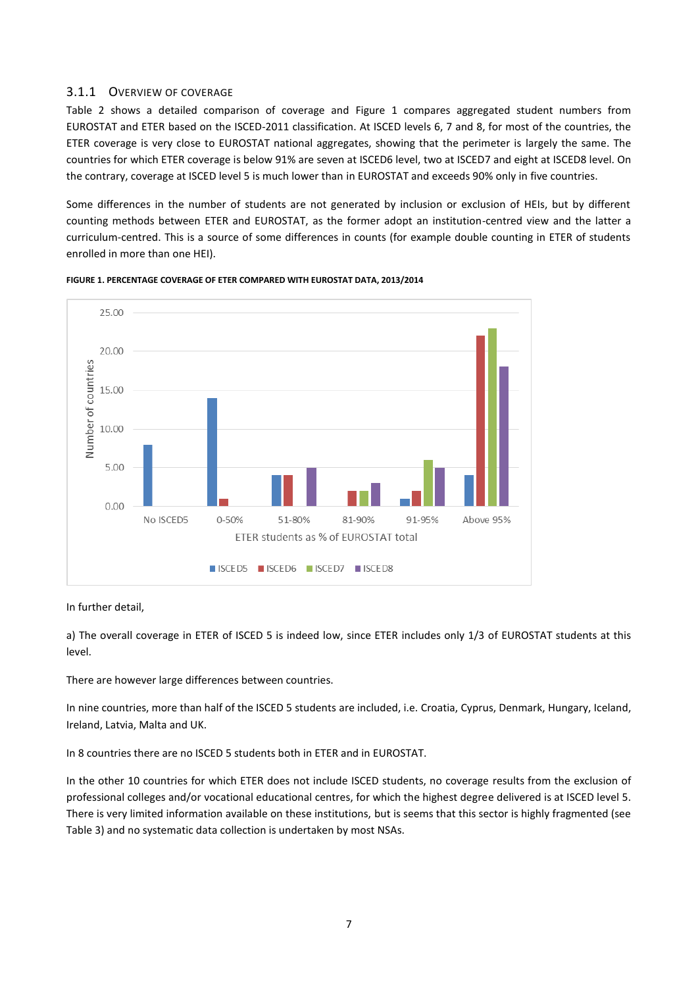## 3.1.1 OVERVIEW OF COVERAGE

[Table 2](#page-7-0) shows a detailed comparison of coverage and [Figure 1](#page-6-0) compares aggregated student numbers from EUROSTAT and ETER based on the ISCED-2011 classification. At ISCED levels 6, 7 and 8, for most of the countries, the ETER coverage is very close to EUROSTAT national aggregates, showing that the perimeter is largely the same. The countries for which ETER coverage is below 91% are seven at ISCED6 level, two at ISCED7 and eight at ISCED8 level. On the contrary, coverage at ISCED level 5 is much lower than in EUROSTAT and exceeds 90% only in five countries.

Some differences in the number of students are not generated by inclusion or exclusion of HEIs, but by different counting methods between ETER and EUROSTAT, as the former adopt an institution-centred view and the latter a curriculum-centred. This is a source of some differences in counts (for example double counting in ETER of students enrolled in more than one HEI).



#### <span id="page-6-0"></span>**FIGURE 1. PERCENTAGE COVERAGE OF ETER COMPARED WITH EUROSTAT DATA, 2013/2014**

### In further detail,

a) The overall coverage in ETER of ISCED 5 is indeed low, since ETER includes only 1/3 of EUROSTAT students at this level.

There are however large differences between countries.

In nine countries, more than half of the ISCED 5 students are included, i.e. Croatia, Cyprus, Denmark, Hungary, Iceland, Ireland, Latvia, Malta and UK.

In 8 countries there are no ISCED 5 students both in ETER and in EUROSTAT.

In the other 10 countries for which ETER does not include ISCED students, no coverage results from the exclusion of professional colleges and/or vocational educational centres, for which the highest degree delivered is at ISCED level 5. There is very limited information available on these institutions, but is seems that this sector is highly fragmented (see [Table 3\)](#page-9-0) and no systematic data collection is undertaken by most NSAs.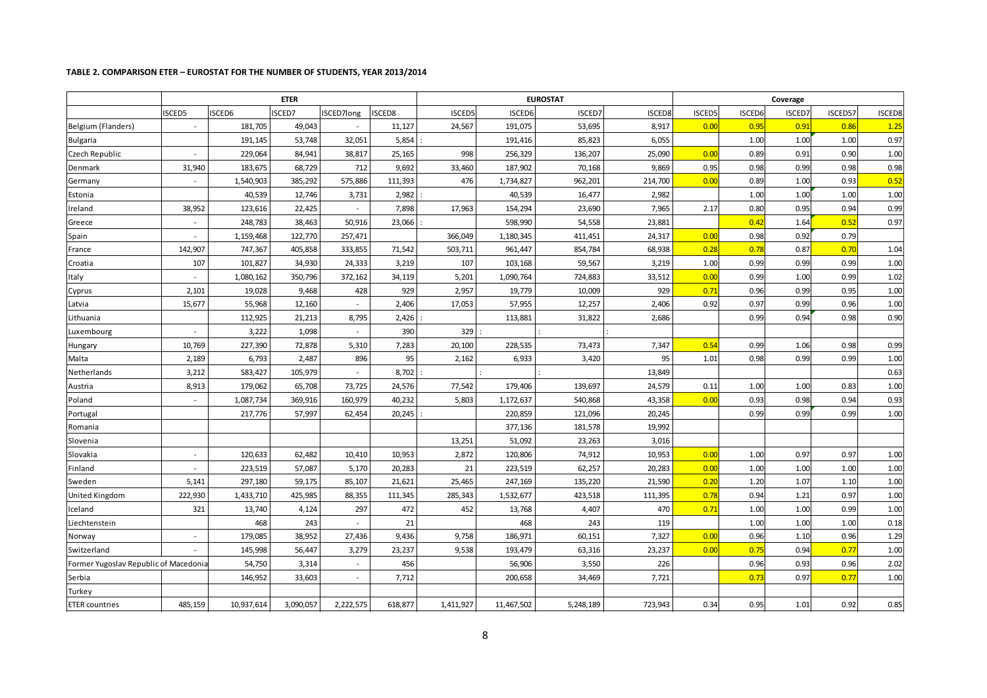#### **TABLE 2. COMPARISON ETER – EUROSTAT FOR THE NUMBER OF STUDENTS, YEAR 2013/2014**

<span id="page-7-0"></span>

|                                       |                          |            | <b>ETER</b> |            |         |           | <b>EUROSTAT</b> |           |         |        | Coverage |        |         |        |
|---------------------------------------|--------------------------|------------|-------------|------------|---------|-----------|-----------------|-----------|---------|--------|----------|--------|---------|--------|
|                                       | <b>ISCED5</b>            | ISCED6     | SCED7       | ISCED7long | ISCED8  | ISCED5    | ISCED6          | ISCED7    | ISCED8  | ISCED5 | ISCED6   | ISCED7 | ISCED57 | ISCED8 |
| Belgium (Flanders)                    |                          | 181,705    | 49,043      |            | 11,127  | 24,567    | 191,075         | 53,695    | 8,917   | 0.00   | 0.95     | 0.91   | 0.86    | 1.25   |
| Bulgaria                              |                          | 191,145    | 53,748      | 32,051     | 5,854   |           | 191,416         | 85,823    | 6,055   |        | 1.00     | 1.00   | 1.00    | 0.97   |
| Czech Republic                        |                          | 229,064    | 84,941      | 38,817     | 25,165  | 998       | 256,329         | 136,207   | 25,090  | 0.00   | 0.89     | 0.91   | 0.90    | 1.00   |
| Denmark                               | 31,940                   | 183,675    | 68,729      | 712        | 9,692   | 33,460    | 187,902         | 70,168    | 9,869   | 0.95   | 0.98     | 0.99   | 0.98    | 0.98   |
| Germany                               |                          | 1,540,903  | 385,292     | 575,886    | 111,393 | 476       | 1,734,827       | 962,201   | 214,700 | 0.00   | 0.89     | 1.00   | 0.93    | 0.52   |
| Estonia                               |                          | 40,539     | 12,746      | 3,731      | 2,982   |           | 40,539          | 16,477    | 2,982   |        | 1.00     | 1.00   | 1.00    | 1.00   |
| Ireland                               | 38,952                   | 123,616    | 22,425      |            | 7,898   | 17,963    | 154,294         | 23,690    | 7,965   | 2.17   | 0.80     | 0.95   | 0.94    | 0.99   |
| Greece                                |                          | 248,783    | 38,463      | 50,916     | 23,066  |           | 598,990         | 54,558    | 23,881  |        | 0.42     | 1.64   | 0.52    | 0.97   |
| Spain                                 |                          | 1,159,468  | 122,770     | 257,471    |         | 366,049   | 1,180,345       | 411,451   | 24,317  | 0.00   | 0.98     | 0.92   | 0.79    |        |
| France                                | 142,907                  | 747,367    | 405,858     | 333,855    | 71,542  | 503,711   | 961,447         | 854,784   | 68,938  | 0.28   | 0.78     | 0.87   | 0.70    | 1.04   |
| Croatia                               | 107                      | 101,827    | 34,930      | 24,333     | 3,219   | 107       | 103,168         | 59,567    | 3,219   | 1.00   | 0.99     | 0.99   | 0.99    | 1.00   |
| Italy                                 |                          | 1,080,162  | 350,796     | 372,162    | 34,119  | 5,201     | 1,090,764       | 724,883   | 33,512  | 0.00   | 0.99     | 1.00   | 0.99    | 1.02   |
| Cyprus                                | 2,101                    | 19,028     | 9,468       | 428        | 929     | 2,957     | 19,779          | 10,009    | 929     | 0.71   | 0.96     | 0.99   | 0.95    | 1.00   |
| Latvia                                | 15,677                   | 55,968     | 12,160      |            | 2,406   | 17,053    | 57,955          | 12,257    | 2,406   | 0.92   | 0.97     | 0.99   | 0.96    | 1.00   |
| Lithuania                             |                          | 112,925    | 21,213      | 8,795      | 2,426   |           | 113,881         | 31,822    | 2,686   |        | 0.99     | 0.94   | 0.98    | 0.90   |
| Luxembourg                            |                          | 3,222      | 1,098       |            | 390     | 329       |                 |           |         |        |          |        |         |        |
| Hungary                               | 10,769                   | 227,390    | 72,878      | 5,310      | 7,283   | 20,100    | 228,535         | 73,473    | 7,347   | 0.54   | 0.99     | 1.06   | 0.98    | 0.99   |
| Malta                                 | 2,189                    | 6,793      | 2,487       | 896        | 95      | 2,162     | 6,933           | 3,420     | 95      | 1.01   | 0.98     | 0.99   | 0.99    | 1.00   |
| Netherlands                           | 3,212                    | 583,427    | 105,979     | $\sim$     | 8,702   |           |                 |           | 13,849  |        |          |        |         | 0.63   |
| Austria                               | 8,913                    | 179,062    | 65,708      | 73,725     | 24,576  | 77,542    | 179,406         | 139,697   | 24,579  | 0.11   | 1.00     | 1.00   | 0.83    | 1.00   |
| Poland                                |                          | 1,087,734  | 369,916     | 160,979    | 40,232  | 5,803     | 1,172,637       | 540,868   | 43,358  | 0.00   | 0.93     | 0.98   | 0.94    | 0.93   |
| Portugal                              |                          | 217,776    | 57,997      | 62,454     | 20,245  |           | 220,859         | 121,096   | 20,245  |        | 0.99     | 0.99   | 0.99    | 1.00   |
| Romania                               |                          |            |             |            |         |           | 377,136         | 181,578   | 19,992  |        |          |        |         |        |
| Slovenia                              |                          |            |             |            |         | 13,251    | 51,092          | 23,263    | 3,016   |        |          |        |         |        |
| Slovakia                              | $\overline{\phantom{a}}$ | 120,633    | 62,482      | 10,410     | 10,953  | 2,872     | 120,806         | 74,912    | 10,953  | 0.00   | 1.00     | 0.97   | 0.97    | 1.00   |
| Finland                               | $\sim$                   | 223,519    | 57,087      | 5,170      | 20,283  | 21        | 223,519         | 62,257    | 20,283  | 0.00   | 1.00     | 1.00   | 1.00    | 1.00   |
| Sweden                                | 5,141                    | 297,180    | 59,175      | 85,107     | 21,621  | 25,465    | 247,169         | 135,220   | 21,590  | 0.20   | 1.20     | 1.07   | 1.10    | 1.00   |
| United Kingdom                        | 222,930                  | 1,433,710  | 425,985     | 88,355     | 111,345 | 285,343   | 1,532,677       | 423,518   | 111,395 | 0.78   | 0.94     | 1.21   | 0.97    | 1.00   |
| Iceland                               | 321                      | 13,740     | 4,124       | 297        | 472     | 452       | 13,768          | 4,407     | 470     | 0.71   | 1.00     | 1.00   | 0.99    | 1.00   |
| Liechtenstein                         |                          | 468        | 243         |            | 21      |           | 468             | 243       | 119     |        | 1.00     | 1.00   | 1.00    | 0.18   |
| Norway                                |                          | 179,085    | 38,952      | 27,436     | 9,436   | 9,758     | 186,971         | 60,151    | 7,327   | 0.00   | 0.96     | 1.10   | 0.96    | 1.29   |
| Switzerland                           |                          | 145,998    | 56,447      | 3,279      | 23,237  | 9,538     | 193,479         | 63,316    | 23,237  | 0.00   | 0.75     | 0.94   | 0.77    | 1.00   |
| Former Yugoslav Republic of Macedonia |                          | 54,750     | 3,314       | $\sim$     | 456     |           | 56,906          | 3,550     | 226     |        | 0.96     | 0.93   | 0.96    | 2.02   |
| Serbia                                |                          | 146,952    | 33,603      |            | 7,712   |           | 200,658         | 34,469    | 7,721   |        | 0.73     | 0.97   | 0.77    | 1.00   |
| Turkey                                |                          |            |             |            |         |           |                 |           |         |        |          |        |         |        |
| <b>ETER countries</b>                 | 485,159                  | 10,937,614 | 3,090,057   | 2,222,575  | 618,877 | 1,411,927 | 11,467,502      | 5,248,189 | 723,943 | 0.34   | 0.95     | 1.01   | 0.92    | 0.85   |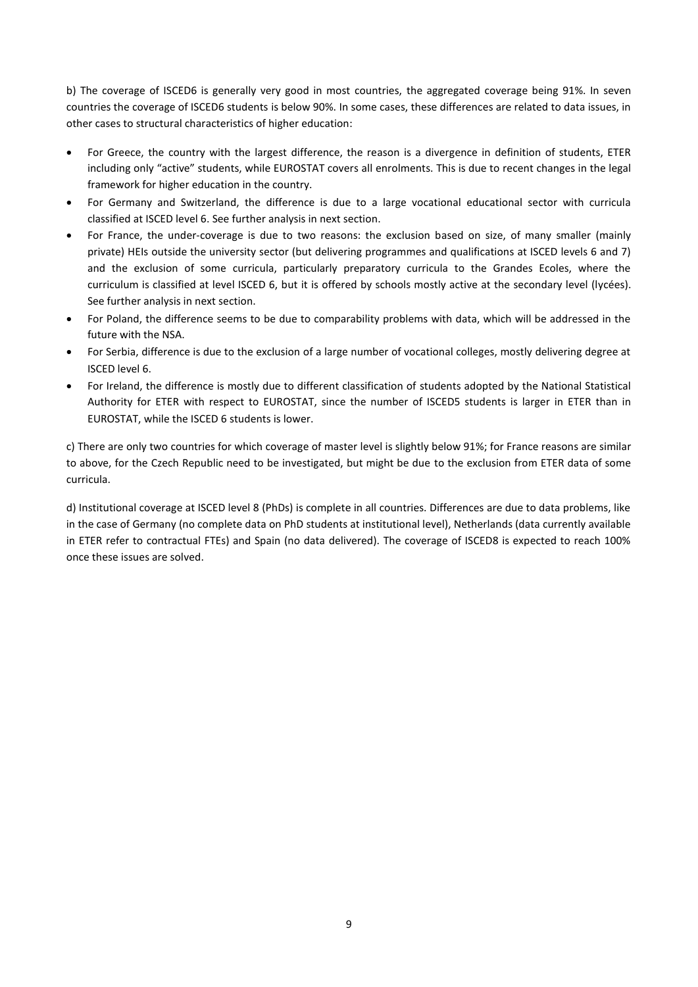b) The coverage of ISCED6 is generally very good in most countries, the aggregated coverage being 91%. In seven countries the coverage of ISCED6 students is below 90%. In some cases, these differences are related to data issues, in other cases to structural characteristics of higher education:

- For Greece, the country with the largest difference, the reason is a divergence in definition of students, ETER including only "active" students, while EUROSTAT covers all enrolments. This is due to recent changes in the legal framework for higher education in the country.
- For Germany and Switzerland, the difference is due to a large vocational educational sector with curricula classified at ISCED level 6. See further analysis in next section.
- For France, the under-coverage is due to two reasons: the exclusion based on size, of many smaller (mainly private) HEIs outside the university sector (but delivering programmes and qualifications at ISCED levels 6 and 7) and the exclusion of some curricula, particularly preparatory curricula to the Grandes Ecoles, where the curriculum is classified at level ISCED 6, but it is offered by schools mostly active at the secondary level (lycées). See further analysis in next section.
- For Poland, the difference seems to be due to comparability problems with data, which will be addressed in the future with the NSA.
- For Serbia, difference is due to the exclusion of a large number of vocational colleges, mostly delivering degree at ISCED level 6.
- For Ireland, the difference is mostly due to different classification of students adopted by the National Statistical Authority for ETER with respect to EUROSTAT, since the number of ISCED5 students is larger in ETER than in EUROSTAT, while the ISCED 6 students is lower.

c) There are only two countries for which coverage of master level is slightly below 91%; for France reasons are similar to above, for the Czech Republic need to be investigated, but might be due to the exclusion from ETER data of some curricula.

d) Institutional coverage at ISCED level 8 (PhDs) is complete in all countries. Differences are due to data problems, like in the case of Germany (no complete data on PhD students at institutional level), Netherlands (data currently available in ETER refer to contractual FTEs) and Spain (no data delivered). The coverage of ISCED8 is expected to reach 100% once these issues are solved.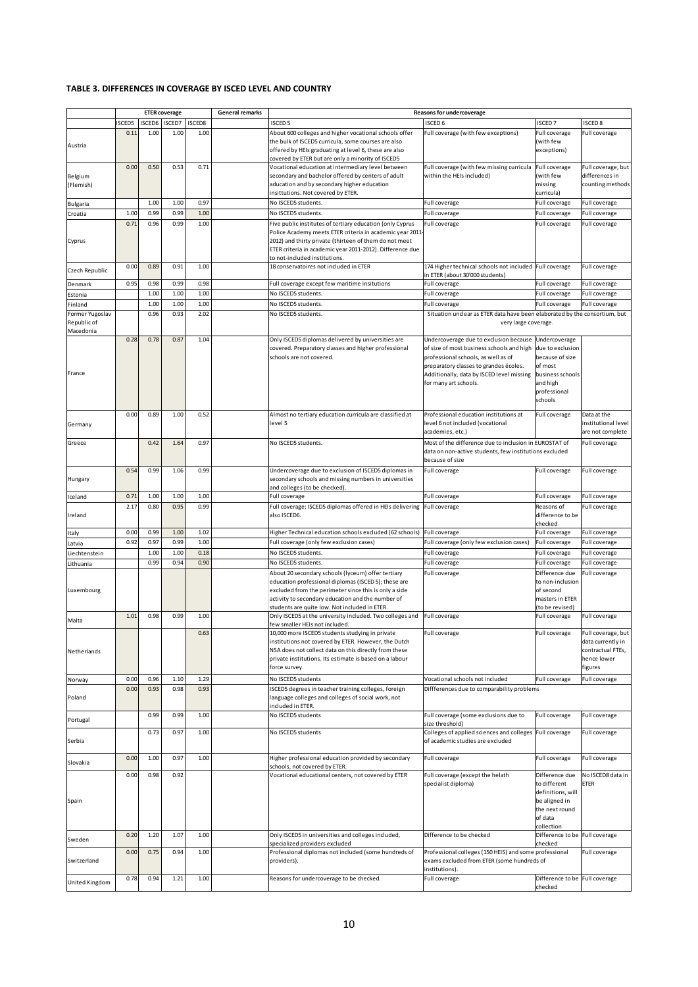#### <span id="page-9-0"></span>**TABLE 3. DIFFERENCES IN COVERAGE BY ISCED LEVEL AND COUNTRY**

|                                             | <b>ETER</b> coverage |               |        |        | <b>General remarks</b> |                                                                                                                                                                                                                                                                           | Reasons for undercoverage                                                                                                                                                                                                                                |                                                                                                                 |                                                                                        |
|---------------------------------------------|----------------------|---------------|--------|--------|------------------------|---------------------------------------------------------------------------------------------------------------------------------------------------------------------------------------------------------------------------------------------------------------------------|----------------------------------------------------------------------------------------------------------------------------------------------------------------------------------------------------------------------------------------------------------|-----------------------------------------------------------------------------------------------------------------|----------------------------------------------------------------------------------------|
|                                             | <b>ISCED5</b>        | <b>ISCED6</b> | ISCED7 | ISCED8 |                        | <b>ISCED 5</b>                                                                                                                                                                                                                                                            | <b>ISCED 6</b>                                                                                                                                                                                                                                           | <b>ISCED7</b>                                                                                                   | <b>ISCED 8</b>                                                                         |
| Austria                                     | 0.11                 | 1.00          | 1.00   | 1.00   |                        | About 600 colleges and higher vocational schools offer<br>the bulk of ISCED5 curricula, some courses are also<br>offered by HEIs graduating at level 6, these are also                                                                                                    | Full coverage (with few exceptions)                                                                                                                                                                                                                      | Full coverage<br>with few<br>exceptions)                                                                        | Full coverage                                                                          |
|                                             |                      |               |        |        |                        | covered by ETER but are only a minority of ISCED5                                                                                                                                                                                                                         |                                                                                                                                                                                                                                                          |                                                                                                                 |                                                                                        |
| Belgium<br>(Flemish)                        | 0.00                 | 0.50          | 0.53   | 0.71   |                        | Vocational education at intermediary level between<br>secondary and bachelor offered by centers of adult<br>aducation and by secondary higher education<br>insittutions. Not covered by ETER.                                                                             | Full coverage (with few missing curricula<br>within the HEIs included)                                                                                                                                                                                   | Full coverage<br>(with few<br>missing<br>curricula)                                                             | Full coverage, but<br>differences in<br>counting methods                               |
| Bulgaria                                    |                      | 1.00          | 1.00   | 0.97   |                        | No ISCED5 students.                                                                                                                                                                                                                                                       | Full coverage                                                                                                                                                                                                                                            | Full coverage                                                                                                   | Full coverage                                                                          |
| Croatia                                     | 1.00                 | 0.99          | 0.99   | 1.00   |                        | No ISCED5 students.                                                                                                                                                                                                                                                       | Full coverage                                                                                                                                                                                                                                            | Full coverage                                                                                                   | Full coverage                                                                          |
| Cyprus                                      | 0.71                 | 0.96          | 0.99   | 1.00   |                        | Five public institutes of tertiary education (only Cyprus<br>Police Academy meets ETER criteria in academic year 2011<br>2012) and thirty private (thirteen of them do not meet                                                                                           | Full coverage                                                                                                                                                                                                                                            | Full coverage                                                                                                   | Full coverage                                                                          |
|                                             | 0.00                 | 0.89          | 0.91   | 1.00   |                        | ETER criteria in academic year 2011-2012). Difference due<br>to not-included institutions.<br>18 conservatoires not included in ETER<br>174 Higher technical schools not included Full coverage                                                                           |                                                                                                                                                                                                                                                          |                                                                                                                 | Full coverage                                                                          |
| Czech Republic                              |                      |               |        |        |                        |                                                                                                                                                                                                                                                                           | in ETER (about 30'000 students)                                                                                                                                                                                                                          |                                                                                                                 |                                                                                        |
| Denmark                                     | 0.95                 | 0.98          | 0.99   | 0.98   |                        | Full coverage except few maritime insitutions                                                                                                                                                                                                                             | Full coverage                                                                                                                                                                                                                                            | Full coverage                                                                                                   | Full coverage                                                                          |
| Estonia                                     |                      | 1.00          | 1.00   | 1.00   |                        | No ISCED5 students.                                                                                                                                                                                                                                                       | Full coverage                                                                                                                                                                                                                                            | Full coverage                                                                                                   | Full coverage                                                                          |
| Finland                                     |                      | 1.00          | 1.00   | 1.00   |                        | No ISCED5 students.                                                                                                                                                                                                                                                       | Full coverage                                                                                                                                                                                                                                            | Full coverage                                                                                                   | Full coverage                                                                          |
| Former Yugoslav<br>Republic of<br>Macedonia |                      | 0.96          | 0.93   | 2.02   |                        | No ISCED5 students.                                                                                                                                                                                                                                                       | Situation unclear as ETER data have been elaborated by the consortium, but<br>very large coverage.                                                                                                                                                       |                                                                                                                 |                                                                                        |
| France                                      | 0.28                 | 0.78          | 0.87   | 1.04   |                        | Only ISCED5 diplomas delivered by universities are<br>covered. Preparatory classes and higher professional<br>schools are not covered.                                                                                                                                    | Undercoverage due to exclusion because Undercoverage<br>of size of most business schools and high<br>professional schools, as well as of<br>preparatory classes to grandes écoles.<br>Additionally, data by ISCED level missing<br>for many art schools. | due to exclusion<br>because of size<br>of most<br>business schools<br>and high<br>professional<br>schools       |                                                                                        |
| Germany                                     | 0.00                 | 0.89          | 1.00   | 0.52   |                        | Almost no tertiary education curricula are classified at<br>level 5                                                                                                                                                                                                       | Professional education institutions at<br>level 6 not included (vocational<br>academies, etc.)                                                                                                                                                           | Full coverage                                                                                                   | Data at the<br>institutional level<br>are not complete                                 |
| Greece                                      |                      | 0.42          | 1.64   | 0.97   |                        | No ISCED5 students.                                                                                                                                                                                                                                                       | Most of the difference due to inclusion in EUROSTAT of                                                                                                                                                                                                   |                                                                                                                 | Full coverage                                                                          |
|                                             |                      |               |        |        |                        |                                                                                                                                                                                                                                                                           | data on non-active students, few institutions excluded<br>because of size                                                                                                                                                                                |                                                                                                                 |                                                                                        |
| Hungary                                     | 0.54                 | 0.99          | 1.06   | 0.99   |                        | Undercoverage due to exclusion of ISCED5 diplomas in<br>secondary schools and missing numbers in universities<br>and colleges (to be checked).                                                                                                                            | Full coverage                                                                                                                                                                                                                                            | Full coverage                                                                                                   | Full coverage                                                                          |
| Iceland                                     | 0.71                 | 1.00          | 1.00   | 1.00   |                        | Full coverage                                                                                                                                                                                                                                                             | Full coverage                                                                                                                                                                                                                                            | Full coverage                                                                                                   | Full coverage                                                                          |
| Ireland                                     | 2.17                 | 0.80          | 0.95   | 0.99   |                        | Full coverage; ISCED5 diplomas offered in HEIs delivering<br>also ISCED6.                                                                                                                                                                                                 | Full coverage                                                                                                                                                                                                                                            | Reasons of<br>difference to be<br>checked                                                                       | Full coverage                                                                          |
| Italy                                       | 0.00                 | 0.99          | 1.00   | 1.02   |                        | Higher Technical education schools excluded (62 schools)                                                                                                                                                                                                                  | Full coverage                                                                                                                                                                                                                                            | Full coverage                                                                                                   | Full coverage                                                                          |
| Latvia                                      | 0.92                 | 0.97          | 0.99   | 1.00   |                        | Full coverage (only few exclusion cases)                                                                                                                                                                                                                                  | Full coverage (only few exclusion cases)                                                                                                                                                                                                                 | Full coverage                                                                                                   | Full coverage                                                                          |
| Liechtenstein                               |                      | 1.00          | 1.00   | 0.18   |                        | No ISCED5 students.                                                                                                                                                                                                                                                       | Full coverage                                                                                                                                                                                                                                            | Full coverage                                                                                                   | Full coverage                                                                          |
| Lithuania                                   |                      | 0.99          | 0.94   | 0.90   |                        | No ISCED5 students.                                                                                                                                                                                                                                                       | Full coverage                                                                                                                                                                                                                                            | Full coverage                                                                                                   | Full coverage                                                                          |
| Luxembourg                                  |                      |               |        |        |                        | About 20 secondary schools (lyceum) offer tertiary<br>education professional diplomas (ISCED 5); these are<br>excluded from the perimeter since this is only a side<br>activity to secondary education and the number of<br>students are quite low. Not included in ETER. | Full coverage                                                                                                                                                                                                                                            | Difference due<br>to non-inclusion<br>of second<br>masters in ETER<br>(to be revised)                           | Full coverage                                                                          |
| Malta                                       | 1.01                 | 0.98          | 0.99   | 1.00   |                        | Only ISCED5 at the university included. Two colleges and<br>few smaller HEIs not included.                                                                                                                                                                                | Full coverage                                                                                                                                                                                                                                            | Full coverage                                                                                                   | Full coverage                                                                          |
| Netherlands                                 |                      |               |        | 0.63   |                        | 10,000 more ISCED5 students studying in private<br>institutions not covered by ETER. However, the Dutch<br>NSA does not collect data on this directly from these<br>private institutions. Its estimate is based on a labour<br>force survey.                              | Full coverage                                                                                                                                                                                                                                            | Full coverage                                                                                                   | Full coverage, but<br>data currently in<br>contractual FTEs,<br>hence lower<br>figures |
| Norway                                      | 0.00                 | 0.96          | 1.10   | 1.29   |                        | No ISCED5 students                                                                                                                                                                                                                                                        | Vocational schools not included                                                                                                                                                                                                                          | Full coverage                                                                                                   | Full coverage                                                                          |
| Poland                                      | 0.00                 | 0.93          | 0.98   | 0.93   |                        | ISCED5 degrees in teacher training colleges, foreign<br>language colleges and colleges of social work, not<br>included in ETER.                                                                                                                                           | Diffferences due to comparability problems                                                                                                                                                                                                               |                                                                                                                 |                                                                                        |
| Portugal                                    |                      | 0.99          | 0.99   | 1.00   |                        | No ISCED5 students                                                                                                                                                                                                                                                        | Full coverage (some exclusions due to<br>size threshold)                                                                                                                                                                                                 | Full coverage                                                                                                   | Full coverage                                                                          |
| Serbia                                      |                      | 0.73          | 0.97   | 1.00   |                        | No ISCED5 students                                                                                                                                                                                                                                                        | Colleges of applied sciences and colleges Full coverage<br>of academic studies are excluded                                                                                                                                                              |                                                                                                                 | Full coverage                                                                          |
| Slovakia                                    | 0.00                 | 1.00          | 0.97   | 1.00   |                        | Higher professional education provided by secondary                                                                                                                                                                                                                       | Full coverage                                                                                                                                                                                                                                            | Full coverage                                                                                                   | Full coverage                                                                          |
| Spain                                       | 0.00                 | 0.98          | 0.92   |        |                        | schools, not covered by ETER.<br>Vocational educational centers, not covered by ETER                                                                                                                                                                                      | Full coverage (except the helath<br>specialist diploma)                                                                                                                                                                                                  | Difference due<br>to different<br>definitions, will<br>be aligned in<br>the next round<br>of data<br>collection | No ISCED8 data in<br>ETER                                                              |
| Sweden                                      | 0.20                 | 1.20          | 1.07   | 1.00   |                        | Only ISCED5 in universities and colleges included,                                                                                                                                                                                                                        | Difference to be checked                                                                                                                                                                                                                                 | Difference to be                                                                                                | Full coverage                                                                          |
| Switzerland                                 | 0.00                 | 0.75          | 0.94   | 1.00   |                        | specialized providers excluded<br>Professional diplomas not included (some hundreds of<br>providers).                                                                                                                                                                     | Professional colleges (150 HEIS) and some professional<br>exams excluded from ETER (some hundreds of                                                                                                                                                     | checked                                                                                                         | Full coverage                                                                          |
|                                             | 0.78                 | 0.94          | 1.21   | 1.00   |                        | Reasons for undercoverage to be checked.                                                                                                                                                                                                                                  | institutions).<br>Full coverage                                                                                                                                                                                                                          | Difference to be Full coverage                                                                                  |                                                                                        |
| United Kingdom                              |                      |               |        |        |                        |                                                                                                                                                                                                                                                                           |                                                                                                                                                                                                                                                          | checked                                                                                                         |                                                                                        |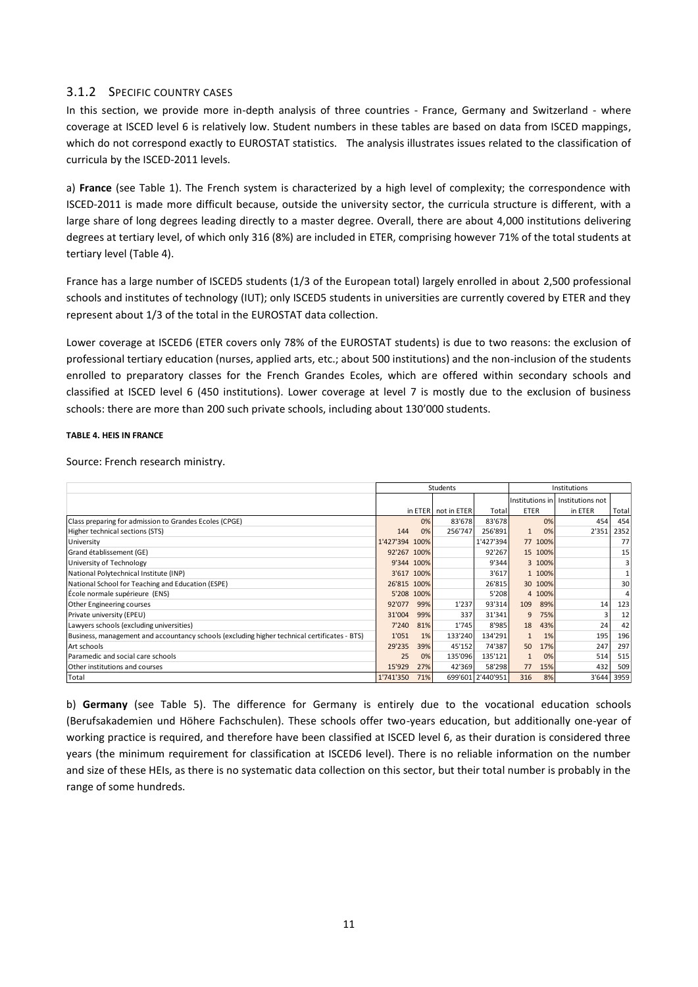## 3.1.2 SPECIFIC COUNTRY CASES

In this section, we provide more in-depth analysis of three countries - France, Germany and Switzerland - where coverage at ISCED level 6 is relatively low. Student numbers in these tables are based on data from ISCED mappings, which do not correspond exactly to EUROSTAT statistics. The analysis illustrates issues related to the classification of curricula by the ISCED-2011 levels.

a) **France** (see [Table 1\)](#page-5-0). The French system is characterized by a high level of complexity; the correspondence with ISCED-2011 is made more difficult because, outside the university sector, the curricula structure is different, with a large share of long degrees leading directly to a master degree. Overall, there are about 4,000 institutions delivering degrees at tertiary level, of which only 316 (8%) are included in ETER, comprising however 71% of the total students at tertiary level [\(Table 4\)](#page-10-0).

France has a large number of ISCED5 students (1/3 of the European total) largely enrolled in about 2,500 professional schools and institutes of technology (IUT); only ISCED5 students in universities are currently covered by ETER and they represent about 1/3 of the total in the EUROSTAT data collection.

Lower coverage at ISCED6 (ETER covers only 78% of the EUROSTAT students) is due to two reasons: the exclusion of professional tertiary education (nurses, applied arts, etc.; about 500 institutions) and the non-inclusion of the students enrolled to preparatory classes for the French Grandes Ecoles, which are offered within secondary schools and classified at ISCED level 6 (450 institutions). Lower coverage at level 7 is mostly due to the exclusion of business schools: there are more than 200 such private schools, including about 130'000 students.

#### <span id="page-10-0"></span>**TABLE 4. HEIS IN FRANCE**

Source: French research ministry.

|                                                                                              |                |            | Students    | Institutions      |                    |                                    |       |  |  |
|----------------------------------------------------------------------------------------------|----------------|------------|-------------|-------------------|--------------------|------------------------------------|-------|--|--|
|                                                                                              |                |            |             |                   |                    | Institutions in   Institutions not |       |  |  |
|                                                                                              |                | in ETER    | not in ETER | Total             | <b>ETER</b>        | in ETER                            | Total |  |  |
| Class preparing for admission to Grandes Ecoles (CPGE)                                       |                | 0%         | 83'678      | 83'678            | 0%                 | 454                                | 454   |  |  |
| Higher technical sections (STS)                                                              | 144            | 0%         | 256'747     | 256'891           | 0%<br>$\mathbf{1}$ | 2'351                              | 2352  |  |  |
| University                                                                                   | 1'427'394 100% |            |             | 1'427'394         | 77 100%            |                                    | 77    |  |  |
| Grand établissement (GE)                                                                     | 92'267 100%    |            |             | 92'267            | 15 100%            |                                    | 15    |  |  |
| University of Technology                                                                     |                | 9'344 100% |             | 9'344             | 3 100%             |                                    | 3     |  |  |
| National Polytechnical Institute (INP)                                                       |                | 3'617 100% |             | 3'617             | 1 100%             |                                    |       |  |  |
| National School for Teaching and Education (ESPE)                                            | 26'815 100%    |            |             | 26'815            | 30 100%            |                                    | 30    |  |  |
| École normale supérieure (ENS)                                                               | 5'208 100%     |            |             | 5'208             | 4 100%             |                                    | 4     |  |  |
| <b>Other Engineering courses</b>                                                             | 92'077         | 99%        | 1'237       | 93'314            | 109<br>89%         | 14                                 | 123   |  |  |
| Private university (EPEU)                                                                    | 31'004         | 99%        | 337         | 31'341            | 9<br>75%           |                                    | 12    |  |  |
| Lawyers schools (excluding universities)                                                     | 7'240          | 81%        | 1'745       | 8'985             | 18<br>43%          | 24                                 | 42    |  |  |
| Business, management and accountancy schools (excluding higher technical certificates - BTS) | 1'051          | 1%         | 133'240     | 134'291           | 1%                 | 195                                | 196   |  |  |
| Art schools                                                                                  | 29'235         | 39%        | 45'152      | 74'387            | 50<br>17%          | 247                                | 297   |  |  |
| Paramedic and social care schools                                                            | 25             | 0%         | 135'096     | 135'121           | 0%                 | 514                                | 515   |  |  |
| Other institutions and courses                                                               | 15'929         | 27%        | 42'369      | 58'298            | 15%<br>77          | 432                                | 509   |  |  |
| Total                                                                                        | 1'741'350      | 71%        |             | 699'601 2'440'951 | 316<br>8%          | 3'644                              | 3959  |  |  |

b) **Germany** (see [Table 5\)](#page-11-0). The difference for Germany is entirely due to the vocational education schools (Berufsakademien und Höhere Fachschulen). These schools offer two-years education, but additionally one-year of working practice is required, and therefore have been classified at ISCED level 6, as their duration is considered three years (the minimum requirement for classification at ISCED6 level). There is no reliable information on the number and size of these HEIs, as there is no systematic data collection on this sector, but their total number is probably in the range of some hundreds.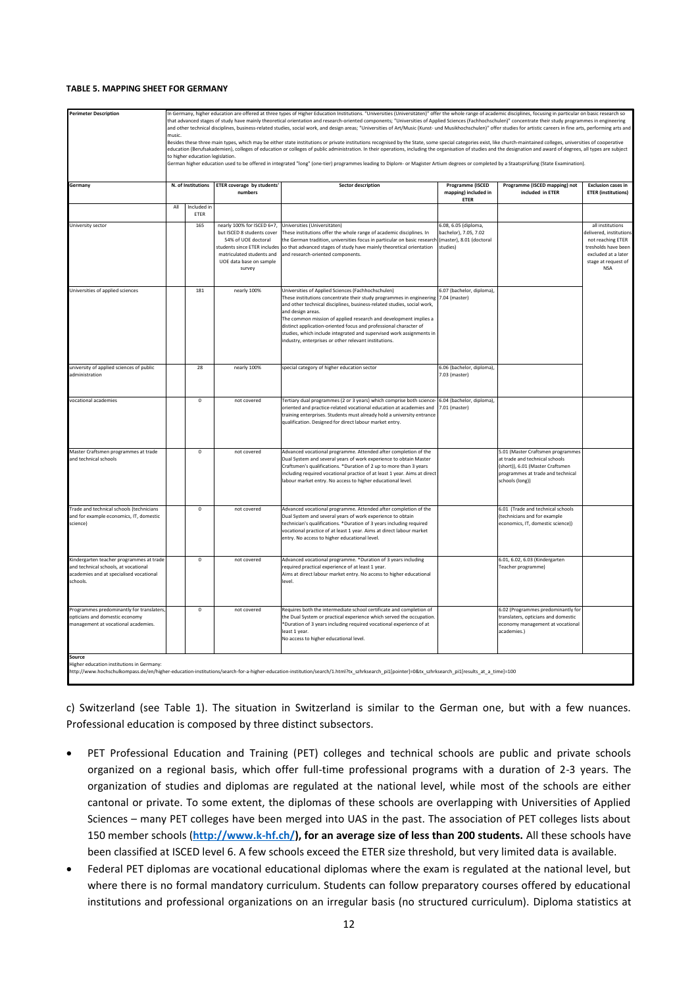#### <span id="page-11-0"></span>**TABLE 5. MAPPING SHEET FOR GERMANY**

| <b>Perimeter Description</b>                                                                                                                                                                                                         | In Germany, higher education are offered at three types of Higher Education Institutions. "Universities (Universitäten)" offer the whole range of academic disciplines, focusing in particular on basic research so<br>that advanced stages of study have mainly theoretical orientation and research-oriented components; "Universities of Applied Sciences (Fachhochschulen)" concentrate their study programmes in engineering          |                            |                                                           |                                                                                                                                                                                                 |                                                  |                                                                           |                                              |  |  |  |  |
|--------------------------------------------------------------------------------------------------------------------------------------------------------------------------------------------------------------------------------------|--------------------------------------------------------------------------------------------------------------------------------------------------------------------------------------------------------------------------------------------------------------------------------------------------------------------------------------------------------------------------------------------------------------------------------------------|----------------------------|-----------------------------------------------------------|-------------------------------------------------------------------------------------------------------------------------------------------------------------------------------------------------|--------------------------------------------------|---------------------------------------------------------------------------|----------------------------------------------|--|--|--|--|
|                                                                                                                                                                                                                                      | and other technical disciplines, business-related studies, social work, and design areas; "Universities of Art/Music (Kunst- und Musikhochschulen)" offer studies for artistic careers in fine arts, performing arts and<br>music.                                                                                                                                                                                                         |                            |                                                           |                                                                                                                                                                                                 |                                                  |                                                                           |                                              |  |  |  |  |
|                                                                                                                                                                                                                                      | Besides these three main types, which may be either state institutions or private institutions recognised by the State, some special categories exist, like church-maintained colleges, universities of cooperative<br>education (Berufsakademien), colleges of education or colleges of public administration. In their operations, including the organisation of studies and the designation and award of degrees, all types are subject |                            |                                                           |                                                                                                                                                                                                 |                                                  |                                                                           |                                              |  |  |  |  |
|                                                                                                                                                                                                                                      | to higher education legislation.<br>German higher education used to be offered in integrated "long" (one-tier) programmes leading to Diplom- or Magister Artium degrees or completed by a Staatsprüfung (State Examination).                                                                                                                                                                                                               |                            |                                                           |                                                                                                                                                                                                 |                                                  |                                                                           |                                              |  |  |  |  |
|                                                                                                                                                                                                                                      | N. of Institutions<br><b>ETER coverage by students</b><br><b>Sector description</b><br>Programme (ISCED<br>Programme (ISCED mapping) not<br><b>Exclusion cases in</b>                                                                                                                                                                                                                                                                      |                            |                                                           |                                                                                                                                                                                                 |                                                  |                                                                           |                                              |  |  |  |  |
| Germany                                                                                                                                                                                                                              |                                                                                                                                                                                                                                                                                                                                                                                                                                            |                            | numbers                                                   |                                                                                                                                                                                                 | mapping) included in                             | included in ETER                                                          | <b>ETER</b> (institutions)                   |  |  |  |  |
|                                                                                                                                                                                                                                      | All                                                                                                                                                                                                                                                                                                                                                                                                                                        | Included in<br><b>FTFR</b> |                                                           |                                                                                                                                                                                                 | ETER                                             |                                                                           |                                              |  |  |  |  |
| University sector                                                                                                                                                                                                                    |                                                                                                                                                                                                                                                                                                                                                                                                                                            | 165                        | nearly 100% for ISCED 6+7,                                | Universities (Universitäten)                                                                                                                                                                    | 6.08, 6.05 (diploma,                             |                                                                           | all institutions                             |  |  |  |  |
|                                                                                                                                                                                                                                      |                                                                                                                                                                                                                                                                                                                                                                                                                                            |                            | but ISCED 8 students cover<br>54% of UOE doctoral         | These institutions offer the whole range of academic disciplines. In<br>the German tradition, universities focus in particular on basic research                                                | bachelor), 7.05, 7.02<br>master), 8.01 (doctoral |                                                                           | delivered, institutions<br>not reaching ETER |  |  |  |  |
|                                                                                                                                                                                                                                      |                                                                                                                                                                                                                                                                                                                                                                                                                                            |                            | students since ETER includes<br>matriculated students and | so that advanced stages of study have mainly theoretical orientation<br>and research-oriented components.                                                                                       | studies)                                         |                                                                           | tresholds have been<br>excluded at a later   |  |  |  |  |
|                                                                                                                                                                                                                                      |                                                                                                                                                                                                                                                                                                                                                                                                                                            |                            | UOE data base on sample<br>survey                         |                                                                                                                                                                                                 |                                                  |                                                                           | stage at request of<br><b>NSA</b>            |  |  |  |  |
|                                                                                                                                                                                                                                      |                                                                                                                                                                                                                                                                                                                                                                                                                                            |                            |                                                           |                                                                                                                                                                                                 |                                                  |                                                                           |                                              |  |  |  |  |
| Universities of applied sciences                                                                                                                                                                                                     |                                                                                                                                                                                                                                                                                                                                                                                                                                            | 181                        | nearly 100%                                               | Universities of Applied Sciences (Fachhochschulen)<br>These institutions concentrate their study programmes in engineering                                                                      | 5.07 (bachelor, diploma),<br>7.04 (master)       |                                                                           |                                              |  |  |  |  |
|                                                                                                                                                                                                                                      |                                                                                                                                                                                                                                                                                                                                                                                                                                            |                            |                                                           | and other technical disciplines, business-related studies, social work,<br>and design areas.                                                                                                    |                                                  |                                                                           |                                              |  |  |  |  |
|                                                                                                                                                                                                                                      |                                                                                                                                                                                                                                                                                                                                                                                                                                            |                            |                                                           | The common mission of applied research and development implies a<br>distinct application-oriented focus and professional character of                                                           |                                                  |                                                                           |                                              |  |  |  |  |
|                                                                                                                                                                                                                                      |                                                                                                                                                                                                                                                                                                                                                                                                                                            |                            |                                                           | studies, which include integrated and supervised work assignments in<br>industry, enterprises or other relevant institutions.                                                                   |                                                  |                                                                           |                                              |  |  |  |  |
|                                                                                                                                                                                                                                      |                                                                                                                                                                                                                                                                                                                                                                                                                                            |                            |                                                           |                                                                                                                                                                                                 |                                                  |                                                                           |                                              |  |  |  |  |
| university of applied sciences of public<br>administration                                                                                                                                                                           |                                                                                                                                                                                                                                                                                                                                                                                                                                            | 28                         | nearly 100%                                               | special category of higher education sector                                                                                                                                                     | 5.06 (bachelor, diploma),<br>7.03 (master)       |                                                                           |                                              |  |  |  |  |
|                                                                                                                                                                                                                                      |                                                                                                                                                                                                                                                                                                                                                                                                                                            |                            |                                                           |                                                                                                                                                                                                 |                                                  |                                                                           |                                              |  |  |  |  |
| vocational academies                                                                                                                                                                                                                 |                                                                                                                                                                                                                                                                                                                                                                                                                                            | $\mathbf 0$                | not covered                                               | Tertiary dual programmes (2 or 3 years) which comprise both science-<br>oriented and practice-related vocational education at academies and                                                     | 6.04 (bachelor, diploma),<br>7.01 (master)       |                                                                           |                                              |  |  |  |  |
|                                                                                                                                                                                                                                      |                                                                                                                                                                                                                                                                                                                                                                                                                                            |                            |                                                           | training enterprises. Students must already hold a university entrance<br>qualification. Designed for direct labour market entry.                                                               |                                                  |                                                                           |                                              |  |  |  |  |
|                                                                                                                                                                                                                                      |                                                                                                                                                                                                                                                                                                                                                                                                                                            |                            |                                                           |                                                                                                                                                                                                 |                                                  |                                                                           |                                              |  |  |  |  |
| Master Craftsmen programmes at trade                                                                                                                                                                                                 |                                                                                                                                                                                                                                                                                                                                                                                                                                            | $\bf{0}$                   | not covered                                               | Advanced vocational programme. Attended after completion of the                                                                                                                                 |                                                  | 5.01 (Master Craftsmen programmes                                         |                                              |  |  |  |  |
| and technical schools                                                                                                                                                                                                                |                                                                                                                                                                                                                                                                                                                                                                                                                                            |                            |                                                           | Dual System and several years of work experience to obtain Master<br>Craftsmen's qualifications. *Duration of 2 up to more than 3 years                                                         |                                                  | at trade and technical schools<br>(short)), 6.01 (Master Craftsmen        |                                              |  |  |  |  |
|                                                                                                                                                                                                                                      |                                                                                                                                                                                                                                                                                                                                                                                                                                            |                            |                                                           | including required vocational practice of at least 1 year. Aims at direct<br>labour market entry. No access to higher educational level.                                                        |                                                  | programmes at trade and technical<br>schools (long))                      |                                              |  |  |  |  |
|                                                                                                                                                                                                                                      |                                                                                                                                                                                                                                                                                                                                                                                                                                            |                            |                                                           |                                                                                                                                                                                                 |                                                  |                                                                           |                                              |  |  |  |  |
| Trade and technical schools (technicians                                                                                                                                                                                             |                                                                                                                                                                                                                                                                                                                                                                                                                                            | $\mathbf 0$                | not covered                                               | Advanced vocational programme. Attended after completion of the                                                                                                                                 |                                                  | 6.01 (Trade and technical schools                                         |                                              |  |  |  |  |
| and for example economics, IT, domestic<br>science)                                                                                                                                                                                  |                                                                                                                                                                                                                                                                                                                                                                                                                                            |                            |                                                           | Dual System and several years of work experience to obtain<br>technician's qualifications. *Duration of 3 years including required                                                              |                                                  | (technicians and for example<br>economics, IT, domestic science))         |                                              |  |  |  |  |
|                                                                                                                                                                                                                                      |                                                                                                                                                                                                                                                                                                                                                                                                                                            |                            |                                                           | vocational practice of at least 1 year. Aims at direct labour market<br>entry. No access to higher educational level.                                                                           |                                                  |                                                                           |                                              |  |  |  |  |
|                                                                                                                                                                                                                                      |                                                                                                                                                                                                                                                                                                                                                                                                                                            |                            |                                                           |                                                                                                                                                                                                 |                                                  |                                                                           |                                              |  |  |  |  |
| Kindergarten teacher programmes at trade<br>and technical schools, at vocational                                                                                                                                                     |                                                                                                                                                                                                                                                                                                                                                                                                                                            | $\mathbf 0$                | not covered                                               | Advanced vocational programme. *Duration of 3 years including<br>required practical experience of at least 1 year.                                                                              |                                                  | 6.01, 6.02, 6.03 (Kindergarten<br>Teacher programme)                      |                                              |  |  |  |  |
| academies and at specialised vocational<br>schools.                                                                                                                                                                                  |                                                                                                                                                                                                                                                                                                                                                                                                                                            |                            |                                                           | Aims at direct labour market entry. No access to higher educational<br>level.                                                                                                                   |                                                  |                                                                           |                                              |  |  |  |  |
|                                                                                                                                                                                                                                      |                                                                                                                                                                                                                                                                                                                                                                                                                                            |                            |                                                           |                                                                                                                                                                                                 |                                                  |                                                                           |                                              |  |  |  |  |
| Programmes predominantly for translaters<br>opticians and domestic economy                                                                                                                                                           |                                                                                                                                                                                                                                                                                                                                                                                                                                            | 0                          | not covered                                               | Requires both the intermediate school certificate and completion of<br>the Dual System or practical experience which served the occupation.                                                     |                                                  | 6.02 (Programmes predominantly for<br>translaters, opticians and domestic |                                              |  |  |  |  |
| management at vocational academies.                                                                                                                                                                                                  |                                                                                                                                                                                                                                                                                                                                                                                                                                            |                            |                                                           | *Duration of 3 years including required vocational experience of at<br>least 1 year.                                                                                                            |                                                  | economy management at vocational<br>academies.)                           |                                              |  |  |  |  |
|                                                                                                                                                                                                                                      |                                                                                                                                                                                                                                                                                                                                                                                                                                            |                            |                                                           | No access to higher educational level.                                                                                                                                                          |                                                  |                                                                           |                                              |  |  |  |  |
| Source                                                                                                                                                                                                                               |                                                                                                                                                                                                                                                                                                                                                                                                                                            |                            |                                                           |                                                                                                                                                                                                 |                                                  |                                                                           |                                              |  |  |  |  |
| Higher education institutions in Germany                                                                                                                                                                                             |                                                                                                                                                                                                                                                                                                                                                                                                                                            |                            |                                                           | http://www.hochschulkompass.de/en/higher-education-institutions/search-for-a-higher-education-institution/search/1.html?tx_szhrksearch_pi1[pointer]=0&tx_szhrksearch_pi1[results_at_a_time]=100 |                                                  |                                                                           |                                              |  |  |  |  |
|                                                                                                                                                                                                                                      |                                                                                                                                                                                                                                                                                                                                                                                                                                            |                            |                                                           |                                                                                                                                                                                                 |                                                  |                                                                           |                                              |  |  |  |  |
|                                                                                                                                                                                                                                      |                                                                                                                                                                                                                                                                                                                                                                                                                                            |                            |                                                           | c) Switzerland (see Table 1). The situation in Switzerland is similar to the German one, but with a few nuances.                                                                                |                                                  |                                                                           |                                              |  |  |  |  |
|                                                                                                                                                                                                                                      |                                                                                                                                                                                                                                                                                                                                                                                                                                            |                            |                                                           |                                                                                                                                                                                                 |                                                  |                                                                           |                                              |  |  |  |  |
| Professional education is composed by three distinct subsectors.                                                                                                                                                                     |                                                                                                                                                                                                                                                                                                                                                                                                                                            |                            |                                                           |                                                                                                                                                                                                 |                                                  |                                                                           |                                              |  |  |  |  |
| $\bullet$                                                                                                                                                                                                                            |                                                                                                                                                                                                                                                                                                                                                                                                                                            |                            |                                                           | PET Professional Education and Training (PET) colleges and technical schools are public and private schools                                                                                     |                                                  |                                                                           |                                              |  |  |  |  |
|                                                                                                                                                                                                                                      |                                                                                                                                                                                                                                                                                                                                                                                                                                            |                            |                                                           | organized on a regional basis, which offer full-time professional programs with a duration of 2-3 years. The                                                                                    |                                                  |                                                                           |                                              |  |  |  |  |
|                                                                                                                                                                                                                                      |                                                                                                                                                                                                                                                                                                                                                                                                                                            |                            |                                                           |                                                                                                                                                                                                 |                                                  |                                                                           |                                              |  |  |  |  |
|                                                                                                                                                                                                                                      |                                                                                                                                                                                                                                                                                                                                                                                                                                            |                            |                                                           | organization of studies and diplomas are regulated at the national level, while most of the schools are either                                                                                  |                                                  |                                                                           |                                              |  |  |  |  |
|                                                                                                                                                                                                                                      |                                                                                                                                                                                                                                                                                                                                                                                                                                            |                            |                                                           | cantonal or private. To some extent, the diplomas of these schools are overlapping with Universities of Applied                                                                                 |                                                  |                                                                           |                                              |  |  |  |  |
|                                                                                                                                                                                                                                      |                                                                                                                                                                                                                                                                                                                                                                                                                                            |                            |                                                           | Sciences - many PET colleges have been merged into UAS in the past. The association of PET colleges lists about                                                                                 |                                                  |                                                                           |                                              |  |  |  |  |
|                                                                                                                                                                                                                                      |                                                                                                                                                                                                                                                                                                                                                                                                                                            |                            |                                                           | 150 member schools (http://www.k-hf.ch/), for an average size of less than 200 students. All these schools have                                                                                 |                                                  |                                                                           |                                              |  |  |  |  |
|                                                                                                                                                                                                                                      |                                                                                                                                                                                                                                                                                                                                                                                                                                            |                            |                                                           | been classified at ISCED level 6. A few schools exceed the ETER size threshold, but very limited data is available.                                                                             |                                                  |                                                                           |                                              |  |  |  |  |
|                                                                                                                                                                                                                                      |                                                                                                                                                                                                                                                                                                                                                                                                                                            |                            |                                                           | Federal PET diplomas are vocational educational diplomas where the exam is regulated at the national level, but                                                                                 |                                                  |                                                                           |                                              |  |  |  |  |
|                                                                                                                                                                                                                                      |                                                                                                                                                                                                                                                                                                                                                                                                                                            |                            |                                                           |                                                                                                                                                                                                 |                                                  |                                                                           |                                              |  |  |  |  |
| where there is no formal mandatory curriculum. Students can follow preparatory courses offered by educational<br>institutions and professional organizations on an irregular basis (no structured curriculum). Diploma statistics at |                                                                                                                                                                                                                                                                                                                                                                                                                                            |                            |                                                           |                                                                                                                                                                                                 |                                                  |                                                                           |                                              |  |  |  |  |

- PET Professional Education and Training (PET) colleges and technical schools are public and private schools organized on a regional basis, which offer full-time professional programs with a duration of 2-3 years. The organization of studies and diplomas are regulated at the national level, while most of the schools are either cantonal or private. To some extent, the diplomas of these schools are overlapping with Universities of Applied Sciences – many PET colleges have been merged into UAS in the past. The association of PET colleges lists about 150 member schools (**[http://www.k-hf.ch/\)](http://www.k-hf.ch/), for an average size of less than 200 students.** All these schools have been classified at ISCED level 6. A few schools exceed the ETER size threshold, but very limited data is available.
- Federal PET diplomas are vocational educational diplomas where the exam is regulated at the national level, but where there is no formal mandatory curriculum. Students can follow preparatory courses offered by educational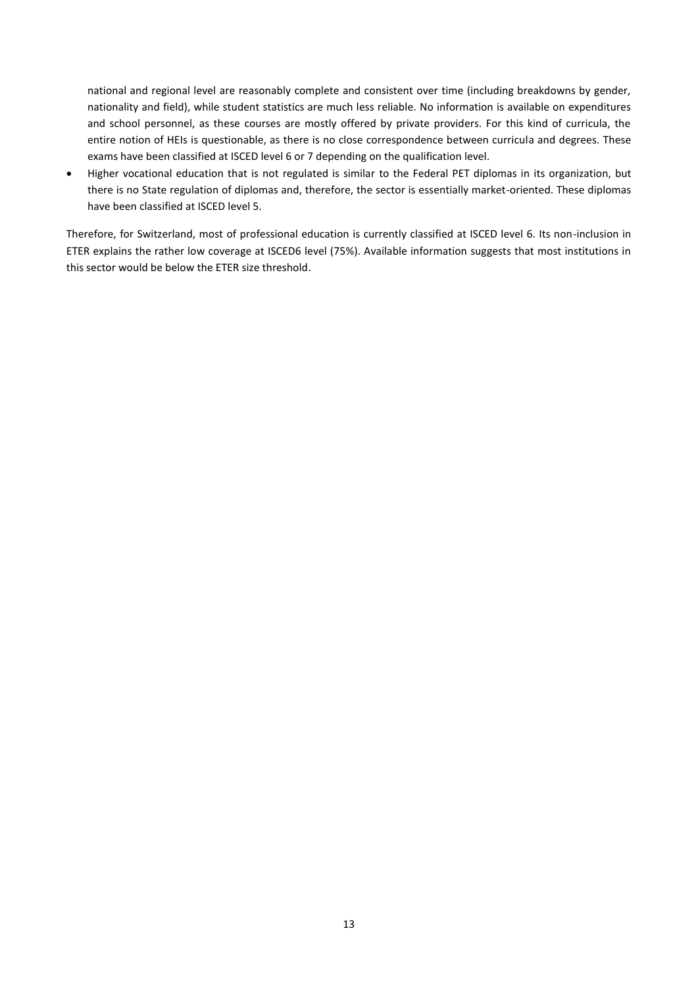national and regional level are reasonably complete and consistent over time (including breakdowns by gender, nationality and field), while student statistics are much less reliable. No information is available on expenditures and school personnel, as these courses are mostly offered by private providers. For this kind of curricula, the entire notion of HEIs is questionable, as there is no close correspondence between curricula and degrees. These exams have been classified at ISCED level 6 or 7 depending on the qualification level.

 Higher vocational education that is not regulated is similar to the Federal PET diplomas in its organization, but there is no State regulation of diplomas and, therefore, the sector is essentially market-oriented. These diplomas have been classified at ISCED level 5.

Therefore, for Switzerland, most of professional education is currently classified at ISCED level 6. Its non-inclusion in ETER explains the rather low coverage at ISCED6 level (75%). Available information suggests that most institutions in this sector would be below the ETER size threshold.